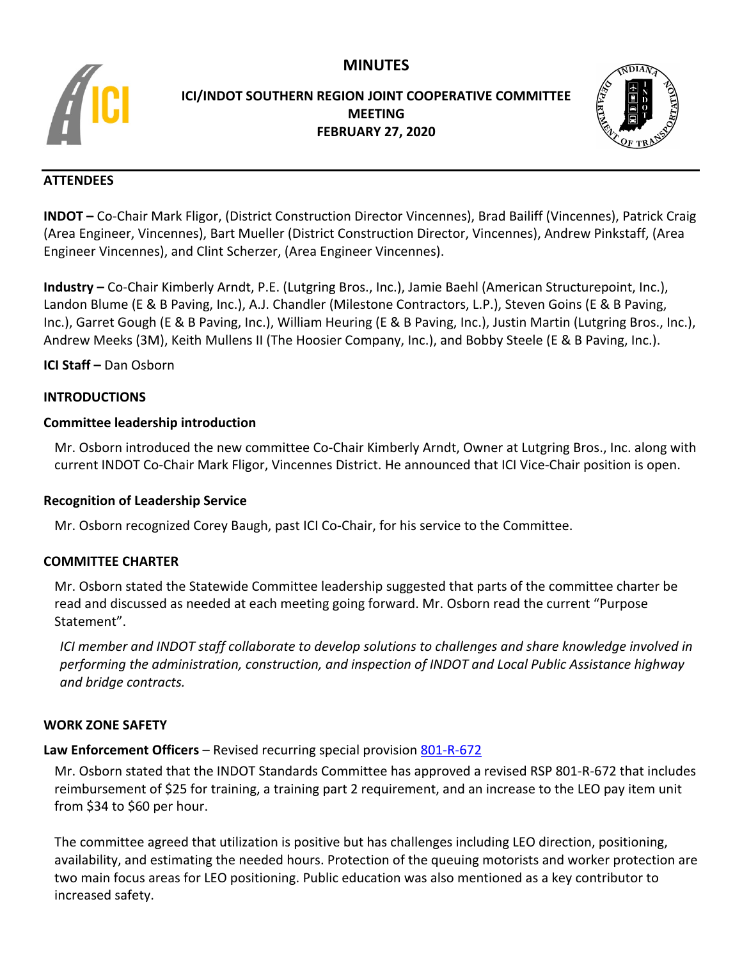# **MINUTES**



# **ICI/INDOT SOUTHERN REGION JOINT COOPERATIVE COMMITTEE MEETING FEBRUARY 27, 2020**



# **ATTENDEES**

**INDOT –** Co-Chair Mark Fligor, (District Construction Director Vincennes), Brad Bailiff (Vincennes), Patrick Craig (Area Engineer, Vincennes), Bart Mueller (District Construction Director, Vincennes), Andrew Pinkstaff, (Area Engineer Vincennes), and Clint Scherzer, (Area Engineer Vincennes).

**Industry –** Co-Chair Kimberly Arndt, P.E. (Lutgring Bros., Inc.), Jamie Baehl (American Structurepoint, Inc.), Landon Blume (E & B Paving, Inc.), A.J. Chandler (Milestone Contractors, L.P.), Steven Goins (E & B Paving, Inc.), Garret Gough (E & B Paving, Inc.), William Heuring (E & B Paving, Inc.), Justin Martin (Lutgring Bros., Inc.), Andrew Meeks (3M), Keith Mullens II (The Hoosier Company, Inc.), and Bobby Steele (E & B Paving, Inc.).

**ICI Staff –** Dan Osborn

### **INTRODUCTIONS**

# **Committee leadership introduction**

Mr. Osborn introduced the new committee Co-Chair Kimberly Arndt, Owner at Lutgring Bros., Inc. along with current INDOT Co-Chair Mark Fligor, Vincennes District. He announced that ICI Vice-Chair position is open.

# **Recognition of Leadership Service**

Mr. Osborn recognized Corey Baugh, past ICI Co-Chair, for his service to the Committee.

# **COMMITTEE CHARTER**

Mr. Osborn stated the Statewide Committee leadership suggested that parts of the committee charter be read and discussed as needed at each meeting going forward. Mr. Osborn read the current "Purpose Statement".

*ICI member and INDOT staff collaborate to develop solutions to challenges and share knowledge involved in performing the administration, construction, and inspection of INDOT and Local Public Assistance highway and bridge contracts.*

#### **WORK ZONE SAFETY**

# **Law Enforcement Officers** – Revised recurring special provision [801-R-672](https://www.in.gov/dot/div/contracts/standards/rsp/sep19/800/801-R-672%20200601.pdf)

Mr. Osborn stated that the INDOT Standards Committee has approved a revised RSP 801-R-672 that includes reimbursement of \$25 for training, a training part 2 requirement, and an increase to the LEO pay item unit from \$34 to \$60 per hour.

The committee agreed that utilization is positive but has challenges including LEO direction, positioning, availability, and estimating the needed hours. Protection of the queuing motorists and worker protection are two main focus areas for LEO positioning. Public education was also mentioned as a key contributor to increased safety.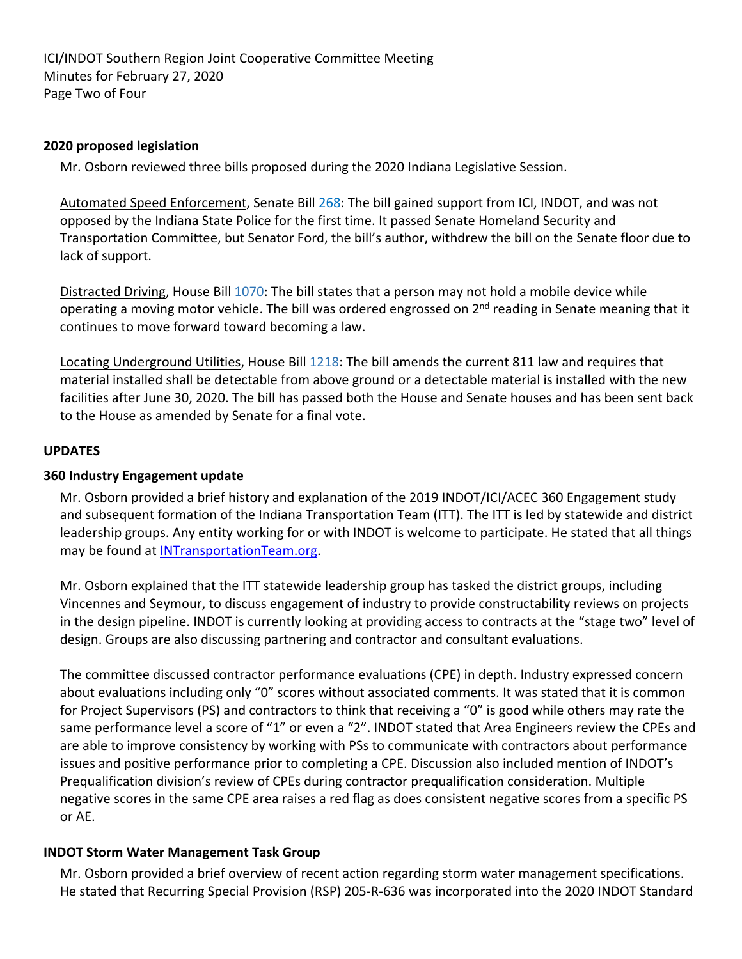ICI/INDOT Southern Region Joint Cooperative Committee Meeting Minutes for February 27, 2020 Page Two of Four

### **2020 proposed legislation**

Mr. Osborn reviewed three bills proposed during the 2020 Indiana Legislative Session.

Automated Speed Enforcement, Senate Bill [268:](http://iga.in.gov/legislative/2020/bills/senate/268) The bill gained support from ICI, INDOT, and was not opposed by the Indiana State Police for the first time. It passed Senate Homeland Security and Transportation Committee, but Senator Ford, the bill's author, withdrew the bill on the Senate floor due to lack of support.

Distracted Driving, House Bill [1070:](http://iga.in.gov/legislative/2020/bills/house/1070) The bill states that a person may not hold a mobile device while operating a moving motor vehicle. The bill was ordered engrossed on 2<sup>nd</sup> reading in Senate meaning that it continues to move forward toward becoming a law.

Locating Underground Utilities, House Bill [1218:](http://iga.in.gov/legislative/2020/bills/house/1218) The bill amends the current 811 law and requires that material installed shall be detectable from above ground or a detectable material is installed with the new facilities after June 30, 2020. The bill has passed both the House and Senate houses and has been sent back to the House as amended by Senate for a final vote.

#### **UPDATES**

### **360 Industry Engagement update**

Mr. Osborn provided a brief history and explanation of the 2019 INDOT/ICI/ACEC 360 Engagement study and subsequent formation of the Indiana Transportation Team (ITT). The ITT is led by statewide and district leadership groups. Any entity working for or with INDOT is welcome to participate. He stated that all things may be found at [INTransportationTeam.org.](http://www.indianatransportationteam.org/)

Mr. Osborn explained that the ITT statewide leadership group has tasked the district groups, including Vincennes and Seymour, to discuss engagement of industry to provide constructability reviews on projects in the design pipeline. INDOT is currently looking at providing access to contracts at the "stage two" level of design. Groups are also discussing partnering and contractor and consultant evaluations.

The committee discussed contractor performance evaluations (CPE) in depth. Industry expressed concern about evaluations including only "0" scores without associated comments. It was stated that it is common for Project Supervisors (PS) and contractors to think that receiving a "0" is good while others may rate the same performance level a score of "1" or even a "2". INDOT stated that Area Engineers review the CPEs and are able to improve consistency by working with PSs to communicate with contractors about performance issues and positive performance prior to completing a CPE. Discussion also included mention of INDOT's Prequalification division's review of CPEs during contractor prequalification consideration. Multiple negative scores in the same CPE area raises a red flag as does consistent negative scores from a specific PS or AE.

# **INDOT Storm Water Management Task Group**

Mr. Osborn provided a brief overview of recent action regarding storm water management specifications. He stated that Recurring Special Provision (RSP) 205-R-636 was incorporated into the 2020 INDOT Standard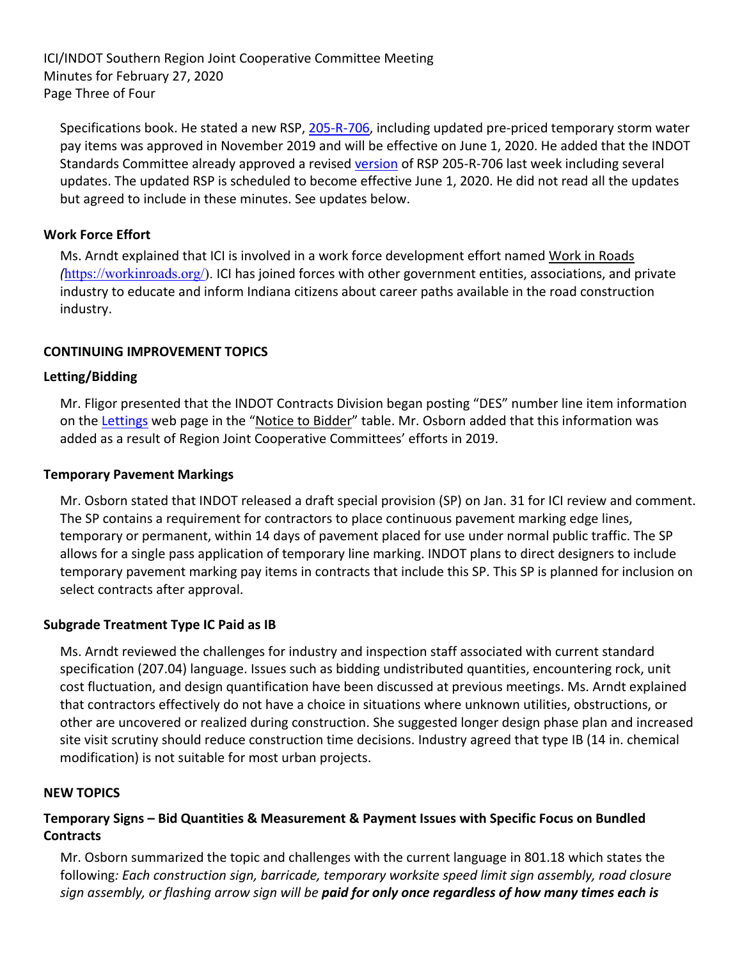ICI/INDOT Southern Region Joint Cooperative Committee Meeting Minutes for February 27, 2020 Page Three of Four

Specifications book. He stated a new RSP, [205-R-706,](https://www.in.gov/dot/div/contracts/standards/rsp/sep19/200/205-R-706%20200601.pdf) including updated pre-priced temporary storm water pay items was approved in November 2019 and will be effective on June 1, 2020. He added that the INDOT Standards Committee already approved a revised [version](https://www.in.gov/dot/div/contracts/standards/sc/2020/jan/SC_Final%20Draft%20Minutes%20200116.pdf) of RSP 205-R-706 last week including several updates. The updated RSP is scheduled to become effective June 1, 2020. He did not read all the updates but agreed to include in these minutes. See updates below.

### **Work Force Effort**

Ms. Arndt explained that ICI is involved in a work force development effort named Work in Roads *(*[https://workinroads.org/\)](https://workinroads.org/). ICI has joined forces with other government entities, associations, and private industry to educate and inform Indiana citizens about career paths available in the road construction industry.

### **CONTINUING IMPROVEMENT TOPICS**

### **Letting/Bidding**

Mr. Fligor presented that the INDOT Contracts Division began posting "DES" number line item information on the [Lettings](https://www.in.gov/dot/div/contracts/letting/index.html) web page in the ["Notice](https://www.in.gov/dot/div/contracts/letting/archive/2020/feb19/feb19.html) to Bidder" table. Mr. Osborn added that this information was added as a result of Region Joint Cooperative Committees' efforts in 2019.

#### **Temporary Pavement Markings**

Mr. Osborn stated that INDOT released a draft special provision (SP) on Jan. 31 for ICI review and comment. The SP contains a requirement for contractors to place continuous pavement marking edge lines, temporary or permanent, within 14 days of pavement placed for use under normal public traffic. The SP allows for a single pass application of temporary line marking. INDOT plans to direct designers to include temporary pavement marking pay items in contracts that include this SP. This SP is planned for inclusion on select contracts after approval.

#### **Subgrade Treatment Type IC Paid as IB**

Ms. Arndt reviewed the challenges for industry and inspection staff associated with current standard specification (207.04) language. Issues such as bidding undistributed quantities, encountering rock, unit cost fluctuation, and design quantification have been discussed at previous meetings. Ms. Arndt explained that contractors effectively do not have a choice in situations where unknown utilities, obstructions, or other are uncovered or realized during construction. She suggested longer design phase plan and increased site visit scrutiny should reduce construction time decisions. Industry agreed that type IB (14 in. chemical modification) is not suitable for most urban projects.

#### **NEW TOPICS**

# **Temporary Signs – Bid Quantities & Measurement & Payment Issues with Specific Focus on Bundled Contracts**

Mr. Osborn summarized the topic and challenges with the current language in 801.18 which states the following*: Each construction sign, barricade, temporary worksite speed limit sign assembly, road closure sign assembly, or flashing arrow sign will be paid for only once regardless of how many times each is*